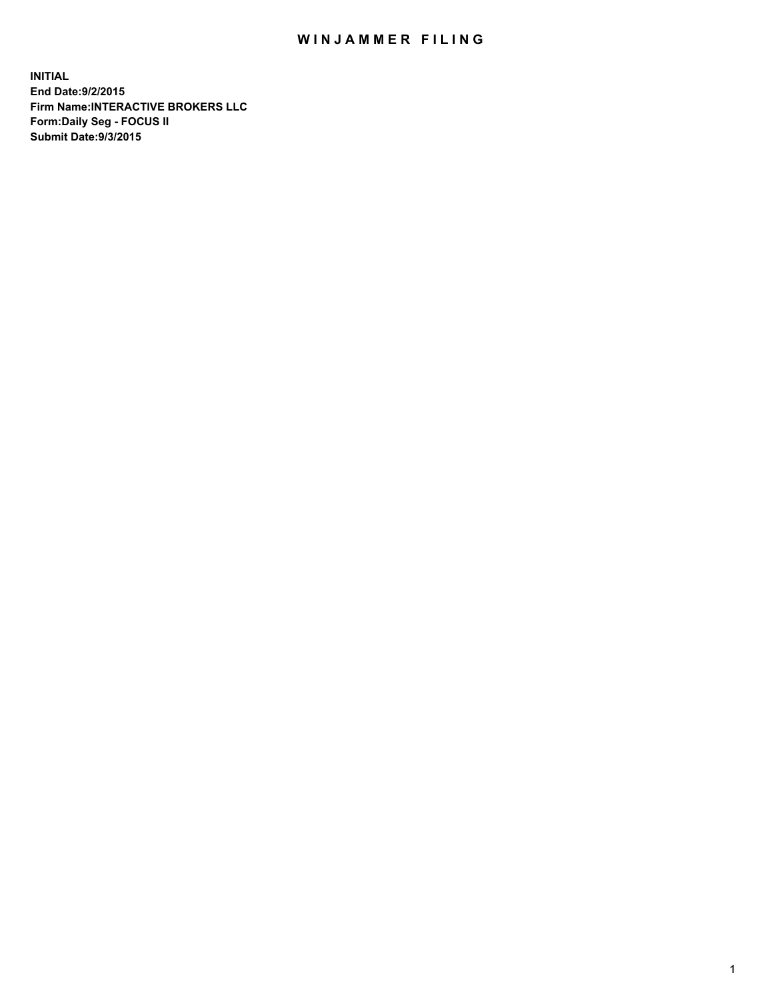## WIN JAMMER FILING

**INITIAL End Date:9/2/2015 Firm Name:INTERACTIVE BROKERS LLC Form:Daily Seg - FOCUS II Submit Date:9/3/2015**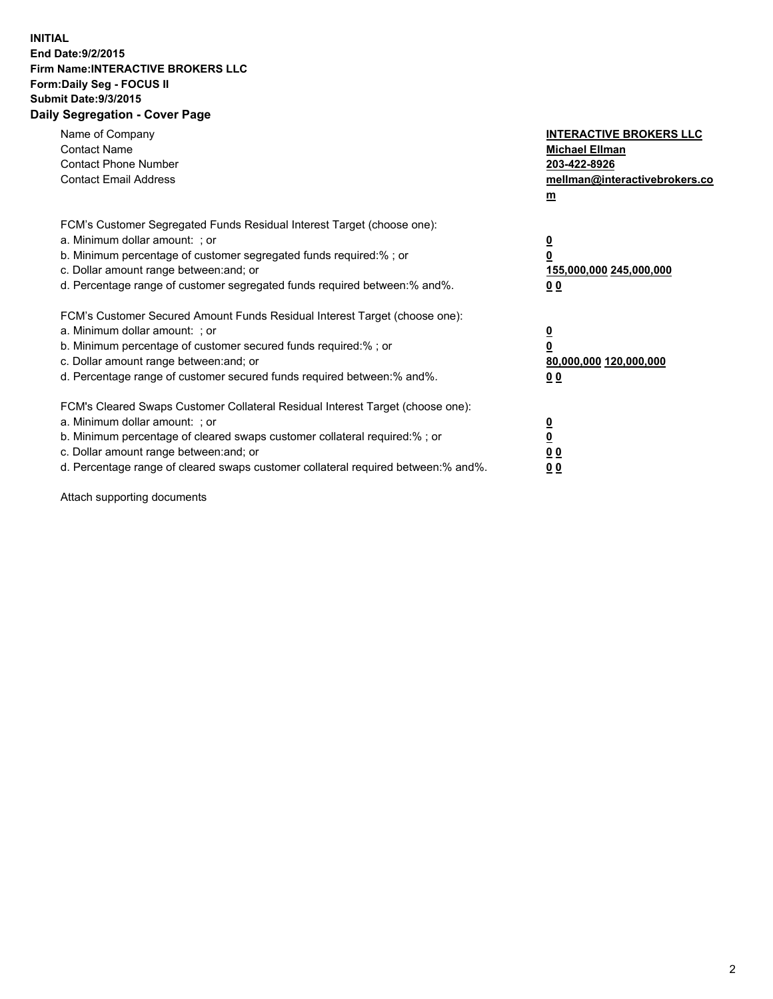## **INITIAL End Date:9/2/2015 Firm Name:INTERACTIVE BROKERS LLC Form:Daily Seg - FOCUS II Submit Date:9/3/2015 Daily Segregation - Cover Page**

| Name of Company<br><b>Contact Name</b><br><b>Contact Phone Number</b><br><b>Contact Email Address</b>                                                                                                                                                                                                                          | <b>INTERACTIVE BROKERS LLC</b><br><b>Michael Ellman</b><br>203-422-8926<br>mellman@interactivebrokers.co<br>$\mathbf{m}$ |
|--------------------------------------------------------------------------------------------------------------------------------------------------------------------------------------------------------------------------------------------------------------------------------------------------------------------------------|--------------------------------------------------------------------------------------------------------------------------|
| FCM's Customer Segregated Funds Residual Interest Target (choose one):<br>a. Minimum dollar amount: ; or<br>b. Minimum percentage of customer segregated funds required:% ; or<br>c. Dollar amount range between: and; or<br>d. Percentage range of customer segregated funds required between:% and%.                         | $\overline{\mathbf{0}}$<br>0<br>155,000,000 245,000,000<br>0 <sub>0</sub>                                                |
| FCM's Customer Secured Amount Funds Residual Interest Target (choose one):<br>a. Minimum dollar amount: ; or<br>b. Minimum percentage of customer secured funds required:%; or<br>c. Dollar amount range between: and; or<br>d. Percentage range of customer secured funds required between: % and %.                          | $\underline{\mathbf{0}}$<br>0<br>80,000,000 120,000,000<br>0 <sub>0</sub>                                                |
| FCM's Cleared Swaps Customer Collateral Residual Interest Target (choose one):<br>a. Minimum dollar amount: ; or<br>b. Minimum percentage of cleared swaps customer collateral required:% ; or<br>c. Dollar amount range between: and; or<br>d. Percentage range of cleared swaps customer collateral required between:% and%. | $\overline{\mathbf{0}}$<br>$\overline{\mathbf{0}}$<br>0 <sub>0</sub><br>0 <sup>0</sup>                                   |

Attach supporting documents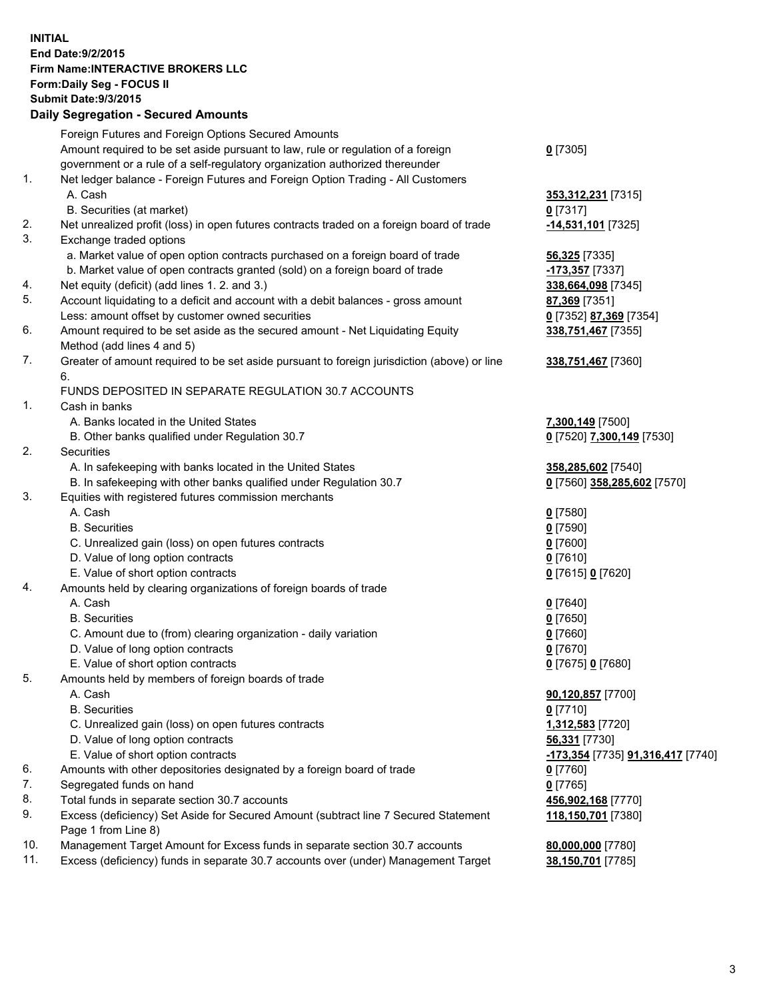## **INITIAL End Date:9/2/2015 Firm Name:INTERACTIVE BROKERS LLC Form:Daily Seg - FOCUS II Submit Date:9/3/2015 Daily Segregation - Secured Amounts**

|     | Foreign Futures and Foreign Options Secured Amounts                                         |                                   |
|-----|---------------------------------------------------------------------------------------------|-----------------------------------|
|     | Amount required to be set aside pursuant to law, rule or regulation of a foreign            | $0$ [7305]                        |
|     | government or a rule of a self-regulatory organization authorized thereunder                |                                   |
| 1.  | Net ledger balance - Foreign Futures and Foreign Option Trading - All Customers             |                                   |
|     | A. Cash                                                                                     | 353,312,231 [7315]                |
|     | B. Securities (at market)                                                                   | $0$ [7317]                        |
| 2.  | Net unrealized profit (loss) in open futures contracts traded on a foreign board of trade   | -14,531,101 <sup>[7325]</sup>     |
| 3.  | Exchange traded options                                                                     |                                   |
|     | a. Market value of open option contracts purchased on a foreign board of trade              |                                   |
|     |                                                                                             | 56,325 [7335]                     |
|     | b. Market value of open contracts granted (sold) on a foreign board of trade                | -173,357 [7337]                   |
| 4.  | Net equity (deficit) (add lines 1. 2. and 3.)                                               | 338,664,098 [7345]                |
| 5.  | Account liquidating to a deficit and account with a debit balances - gross amount           | 87,369 [7351]                     |
|     | Less: amount offset by customer owned securities                                            | 0 [7352] 87,369 [7354]            |
| 6.  | Amount required to be set aside as the secured amount - Net Liquidating Equity              | 338,751,467 [7355]                |
|     | Method (add lines 4 and 5)                                                                  |                                   |
| 7.  | Greater of amount required to be set aside pursuant to foreign jurisdiction (above) or line | 338,751,467 [7360]                |
|     | 6.                                                                                          |                                   |
|     | FUNDS DEPOSITED IN SEPARATE REGULATION 30.7 ACCOUNTS                                        |                                   |
| 1.  | Cash in banks                                                                               |                                   |
|     | A. Banks located in the United States                                                       | 7,300,149 [7500]                  |
|     | B. Other banks qualified under Regulation 30.7                                              | 0 [7520] 7,300,149 [7530]         |
| 2.  | Securities                                                                                  |                                   |
|     | A. In safekeeping with banks located in the United States                                   | 358,285,602 [7540]                |
|     | B. In safekeeping with other banks qualified under Regulation 30.7                          | 0 [7560] 358,285,602 [7570]       |
| 3.  | Equities with registered futures commission merchants                                       |                                   |
|     | A. Cash                                                                                     | $0$ [7580]                        |
|     | <b>B.</b> Securities                                                                        | $0$ [7590]                        |
|     | C. Unrealized gain (loss) on open futures contracts                                         | $0$ [7600]                        |
|     | D. Value of long option contracts                                                           | $0$ [7610]                        |
|     | E. Value of short option contracts                                                          | 0 [7615] 0 [7620]                 |
| 4.  | Amounts held by clearing organizations of foreign boards of trade                           |                                   |
|     | A. Cash                                                                                     | $0$ [7640]                        |
|     | <b>B.</b> Securities                                                                        | $0$ [7650]                        |
|     | C. Amount due to (from) clearing organization - daily variation                             | $0$ [7660]                        |
|     | D. Value of long option contracts                                                           | $0$ [7670]                        |
|     | E. Value of short option contracts                                                          | 0 [7675] 0 [7680]                 |
| 5.  | Amounts held by members of foreign boards of trade                                          |                                   |
|     | A. Cash                                                                                     | 90,120,857 [7700]                 |
|     | <b>B.</b> Securities                                                                        | $0$ [7710]                        |
|     |                                                                                             |                                   |
|     | C. Unrealized gain (loss) on open futures contracts                                         | 1,312,583 [7720]                  |
|     | D. Value of long option contracts                                                           | 56,331 [7730]                     |
|     | E. Value of short option contracts                                                          | -173,354 [7735] 91,316,417 [7740] |
| 6.  | Amounts with other depositories designated by a foreign board of trade                      | $0$ [7760]                        |
| 7.  | Segregated funds on hand                                                                    | $0$ [7765]                        |
| 8.  | Total funds in separate section 30.7 accounts                                               | 456,902,168 [7770]                |
| 9.  | Excess (deficiency) Set Aside for Secured Amount (subtract line 7 Secured Statement         | 118,150,701 [7380]                |
|     | Page 1 from Line 8)                                                                         |                                   |
| 10. | Management Target Amount for Excess funds in separate section 30.7 accounts                 | 80,000,000 [7780]                 |
| 11. | Excess (deficiency) funds in separate 30.7 accounts over (under) Management Target          | 38,150,701 [7785]                 |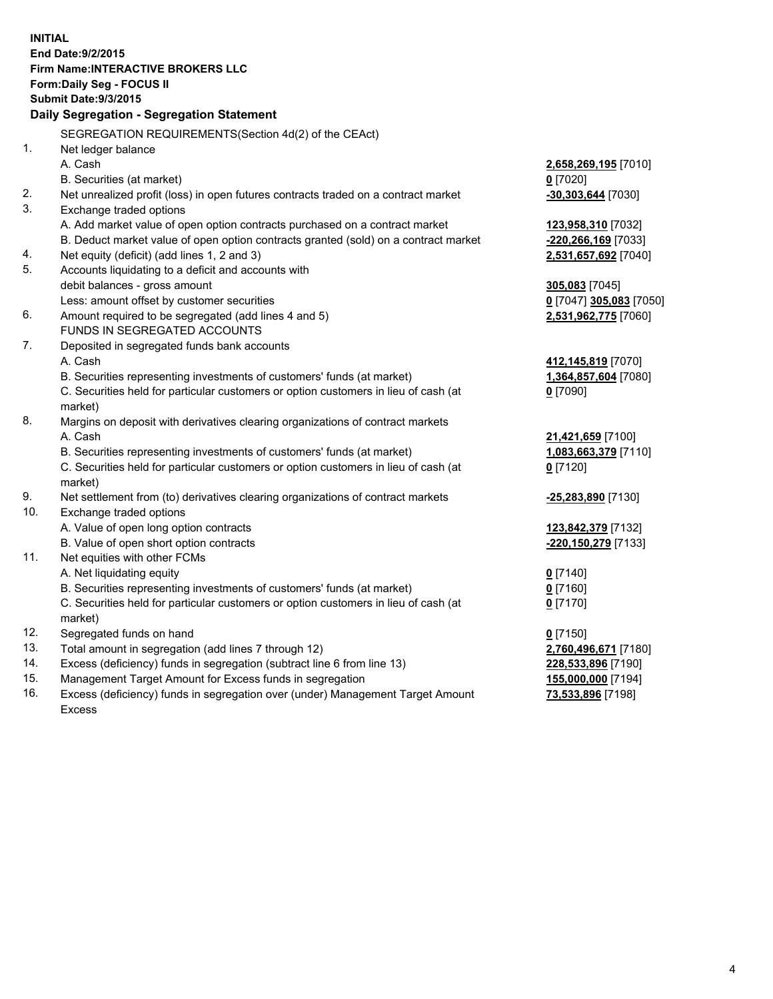**INITIAL End Date:9/2/2015 Firm Name:INTERACTIVE BROKERS LLC Form:Daily Seg - FOCUS II Submit Date:9/3/2015 Daily Segregation - Segregation Statement** SEGREGATION REQUIREMENTS(Section 4d(2) of the CEAct) 1. Net ledger balance A. Cash **2,658,269,195** [7010] B. Securities (at market) **0** [7020] 2. Net unrealized profit (loss) in open futures contracts traded on a contract market **-30,303,644** [7030] 3. Exchange traded options A. Add market value of open option contracts purchased on a contract market **123,958,310** [7032] B. Deduct market value of open option contracts granted (sold) on a contract market **-220,266,169** [7033] 4. Net equity (deficit) (add lines 1, 2 and 3) **2,531,657,692** [7040] 5. Accounts liquidating to a deficit and accounts with debit balances - gross amount **305,083** [7045] Less: amount offset by customer securities **0** [7047] **305,083** [7050] 6. Amount required to be segregated (add lines 4 and 5) **2,531,962,775** [7060] FUNDS IN SEGREGATED ACCOUNTS 7. Deposited in segregated funds bank accounts A. Cash **412,145,819** [7070] B. Securities representing investments of customers' funds (at market) **1,364,857,604** [7080] C. Securities held for particular customers or option customers in lieu of cash (at market) **0** [7090] 8. Margins on deposit with derivatives clearing organizations of contract markets A. Cash **21,421,659** [7100] B. Securities representing investments of customers' funds (at market) **1,083,663,379** [7110] C. Securities held for particular customers or option customers in lieu of cash (at market) **0** [7120] 9. Net settlement from (to) derivatives clearing organizations of contract markets **-25,283,890** [7130] 10. Exchange traded options A. Value of open long option contracts **123,842,379** [7132] B. Value of open short option contracts **-220,150,279** [7133] 11. Net equities with other FCMs A. Net liquidating equity **0** [7140] B. Securities representing investments of customers' funds (at market) **0** [7160] C. Securities held for particular customers or option customers in lieu of cash (at market) **0** [7170] 12. Segregated funds on hand **0** [7150] 13. Total amount in segregation (add lines 7 through 12) **2,760,496,671** [7180] 14. Excess (deficiency) funds in segregation (subtract line 6 from line 13) **228,533,896** [7190] 15. Management Target Amount for Excess funds in segregation **155,000,000** [7194] 16. Excess (deficiency) funds in segregation over (under) Management Target Amount **73,533,896** [7198]

Excess